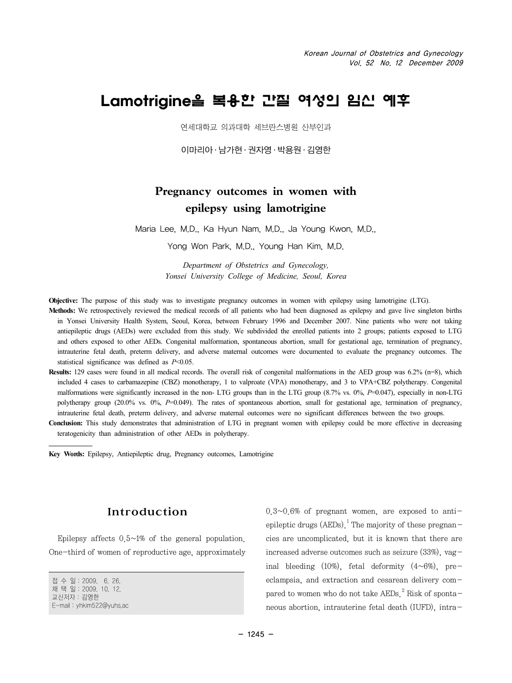# Lamotrigine을 복용한 간질 여성의 임신 예후

연세대학교 의과대학 세브란스병원 산부인과

 $0$ 마리아 · 남가현 · 권자영 · 박용원 · 김영한

## **Pregnancy outcomes in women with epilepsy using lamotrigine**

Maria Lee, M.D., Ka Hyun Nam, M.D., Ja Young Kwon, M.D.,

Yong Won Park, M.D., Young Han Kim, M.D.

*Department of Obstetrics and Gynecology, Yonsei University College of Medicine, Seoul, Korea*

**Objective:** The purpose of this study was to investigate pregnancy outcomes in women with epilepsy using lamotrigine (LTG).

- **Methods:** We retrospectively reviewed the medical records of all patients who had been diagnosed as epilepsy and gave live singleton births in Yonsei University Health System, Seoul, Korea, between February 1996 and December 2007. Nine patients who were not taking antiepileptic drugs (AEDs) were excluded from this study. We subdivided the enrolled patients into 2 groups; patients exposed to LTG and others exposed to other AEDs. Congenital malformation, spontaneous abortion, small for gestational age, termination of pregnancy, intrauterine fetal death, preterm delivery, and adverse maternal outcomes were documented to evaluate the pregnancy outcomes. The statistical significance was defined as *P*<0.05.
- **Results:** 129 cases were found in all medical records. The overall risk of congenital malformations in the AED group was 6.2% (n=8), which included 4 cases to carbamazepine (CBZ) monotherapy, 1 to valproate (VPA) monotherapy, and 3 to VPA+CBZ polytherapy. Congenital malformations were significantly increased in the non- LTG groups than in the LTG group (8.7% vs. 0%, *P*=0.047), especially in non-LTG polytherapy group (20.0% vs. 0%, *P*=0.049). The rates of spontaneous abortion, small for gestational age, termination of pregnancy, intrauterine fetal death, preterm delivery, and adverse maternal outcomes were no significant differences between the two groups.
- **Conclusion:** This study demonstrates that administration of LTG in pregnant women with epilepsy could be more effective in decreasing teratogenicity than administration of other AEDs in polytherapy.

**Key Words:** Epilepsy, Antiepileptic drug, Pregnancy outcomes, Lamotrigine

#### Introduction

Epilepsy affects  $0.5~1%$  of the general population. One-third of women of reproductive age, approximately

접 수 일:2009. 6. 26. 채 택 일:2009. 10. 12. 교신저자:김영한 E-mail:yhkim522@yuhs.ac  $0.3~0.6%$  of pregnant women, are exposed to antiepileptic drugs (AEDs).<sup>1</sup> The majority of these pregnancies are uncomplicated, but it is known that there are increased adverse outcomes such as seizure (33%), vaginal bleeding  $(10\%)$ , fetal deformity  $(4\sim6\%)$ , preeclampsia, and extraction and cesarean delivery compared to women who do not take  $AEDs$ <sup>2</sup> Risk of spontaneous abortion, intrauterine fetal death (IUFD), intra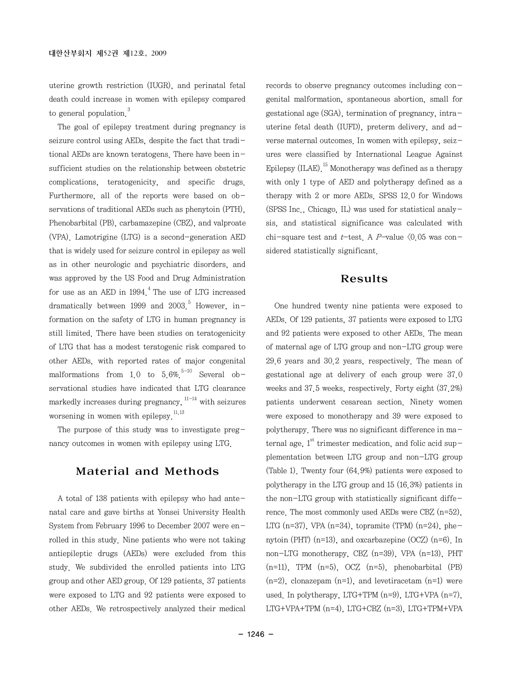uterine growth restriction (IUGR), and perinatal fetal death could increase in women with epilepsy compared to general population<sup>3</sup>

The goal of epilepsy treatment during pregnancy is seizure control using AEDs, despite the fact that traditional AEDs are known teratogens. There have been insufficient studies on the relationship between obstetric complications, teratogenicity, and specific drugs. Furthermore, all of the reports were based on observations of traditional AEDs such as phenytoin (PTH), Phenobarbital (PB), carbamazepine (CBZ), and valproate (VPA). Lamotrigine (LTG) is a second-generation AED that is widely used for seizure control in epilepsy as well as in other neurologic and psychiatric disorders, and was approved by the US Food and Drug Administration for use as an AED in  $1994<sup>4</sup>$  The use of LTG increased dramatically between 1999 and 2003.<sup>5</sup> However, information on the safety of LTG in human pregnancy is still limited. There have been studies on teratogenicity of LTG that has a modest teratogenic risk compared to other AEDs, with reported rates of major congenital malformations from 1.0 to  $5.6\%$ <sup>5-10</sup> Several observational studies have indicated that LTG clearance markedly increases during pregnancy,  $11-14$  with seizures worsening in women with epilepsy. $11,13$ 

The purpose of this study was to investigate pregnancy outcomes in women with epilepsy using LTG.

#### Material and Methods

A total of 138 patients with epilepsy who had antenatal care and gave births at Yonsei University Health System from February 1996 to December 2007 were enrolled in this study. Nine patients who were not taking antiepileptic drugs (AEDs) were excluded from this study. We subdivided the enrolled patients into LTG group and other AED group. Of 129 patients, 37 patients were exposed to LTG and 92 patients were exposed to other AEDs. We retrospectively analyzed their medical

records to observe pregnancy outcomes including congenital malformation, spontaneous abortion, small for gestational age (SGA), termination of pregnancy, intrauterine fetal death (IUFD), preterm delivery, and adverse maternal outcomes. In women with epilepsy, seizures were classified by International League Against Epilepsy  $(ILAE)$ <sup>15</sup> Monotherapy was defined as a therapy with only 1 type of AED and polytherapy defined as a therapy with 2 or more AEDs. SPSS 12.0 for Windows (SPSS Inc., Chicago, IL) was used for statistical analysis, and statistical significance was calculated with chi-square test and *t*-test. A P-value  $\langle 0.05 \text{ was con}$ sidered statistically significant.

#### Results

One hundred twenty nine patients were exposed to AEDs. Of 129 patients, 37 patients were exposed to LTG and 92 patients were exposed to other AEDs. The mean of maternal age of LTG group and non-LTG group were 29.6 years and 30.2 years, respectively. The mean of gestational age at delivery of each group were 37.0 weeks and 37.5 weeks, respectively. Forty eight (37.2%) patients underwent cesarean section. Ninety women were exposed to monotherapy and 39 were exposed to polytherapy. There was no significant difference in maternal age,  $1<sup>st</sup>$  trimester medication, and folic acid supplementation between LTG group and non-LTG group (Table 1). Twenty four (64.9%) patients were exposed to polytherapy in the LTG group and 15 (16.3%) patients in the non-LTG group with statistically significant difference. The most commonly used AEDs were  $CBZ$  (n=52). LTG (n=37), VPA (n=34), topramite (TPM) (n=24), phenytoin (PHT) (n=13), and oxcarbazepine (OCZ) (n=6). In non-LTG monotherapy, CBZ (n=39), VPA (n=13), PHT  $(n=11)$ , TPM  $(n=5)$ , OCZ  $(n=5)$ , phenobarbital (PB)  $(n=2)$ , clonazepam  $(n=1)$ , and levetiracetam  $(n=1)$  were used. In polytherapy, LTG+TPM (n=9), LTG+VPA (n=7), LTG+VPA+TPM (n=4), LTG+CBZ (n=3), LTG+TPM+VPA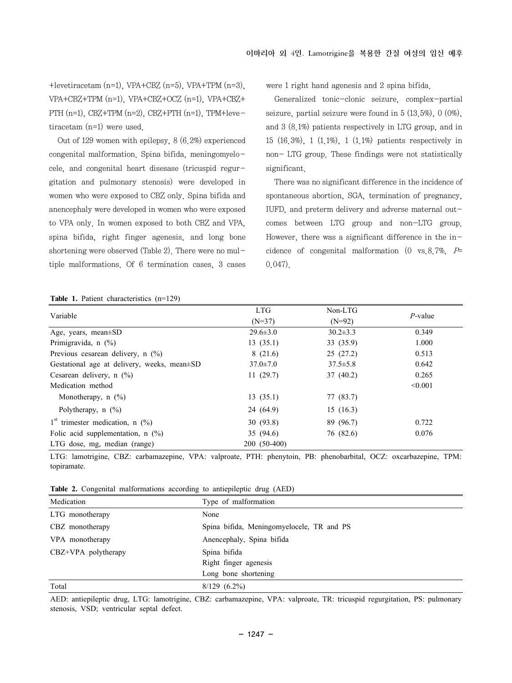+levetiracetam (n=1), VPA+CBZ (n=5), VPA+TPM (n=3), VPA+CBZ+TPM (n=1), VPA+CBZ+OCZ (n=1), VPA+CBZ+ PTH (n=1), CBZ+TPM (n=2), CBZ+PTH (n=1), TPM+levetiracetam (n=1) were used.

Out of 129 women with epilepsy, 8 (6.2%) experienced congenital malformation. Spina bifida, meningomyelocele, and congenital heart disesase (tricuspid regurgitation and pulmonary stenosis) were developed in women who were exposed to CBZ only. Spina bifida and anencephaly were developed in women who were exposed to VPA only. In women exposed to both CBZ and VPA, spina bifida, right finger agenesis, and long bone shortening were observed (Table 2). There were no multiple malformations. Of 6 termination cases, 3 cases were 1 right hand agenesis and 2 spina bifida.

Generalized tonic-clonic seizure, complex-partial seizure, partial seizure were found in 5 (13.5%), 0 (0%), and 3 (8.1%) patients respectively in LTG group, and in 15 (16.3%), 1 (1.1%), 1 (1.1%) patients respectively in non- LTG group. These findings were not statistically significant.

There was no significant difference in the incidence of spontaneous abortion, SGA, termination of pregnancy, IUFD, and preterm delivery and adverse maternal outcomes between LTG group and non-LTG group. However, there was a significant difference in the incidence of congenital malformation  $(0 \text{ vs. } 8.7\%$ ,  $P=$ 0.047).

|  |  | Table 1. Patient characteristics $(n=129)$ |  |
|--|--|--------------------------------------------|--|
|--|--|--------------------------------------------|--|

| Variable                                          | <b>LTG</b>     | $Non-LTG$      |            |  |
|---------------------------------------------------|----------------|----------------|------------|--|
|                                                   | $(N=37)$       | $(N=92)$       | $P$ -value |  |
| Age, years, mean $\pm$ SD                         | $29.6 \pm 3.0$ | $30.2 \pm 3.3$ | 0.349      |  |
| Primigravida, $n$ (%)                             | 13(35.1)       | 33(35.9)       | 1.000      |  |
| Previous cesarean delivery, $n$ (%)               | 8(21.6)        | 25(27.2)       | 0.513      |  |
| Gestational age at delivery, weeks, mean $\pm$ SD | $37.0 \pm 7.0$ | $37.5 \pm 5.8$ | 0.642      |  |
| Cesarean delivery, $n$ (%)                        | 11(29.7)       | 37(40.2)       | 0.265      |  |
| Medication method                                 |                |                | < 0.001    |  |
| Monotherapy, $n$ (%)                              | 13(35.1)       | 77 (83.7)      |            |  |
| Polytherapy, $n$ $(\%)$                           | 24(64.9)       | 15(16.3)       |            |  |
| $1st$ trimester medication, n $(%)$               | 30(93.8)       | 89 (96.7)      | 0.722      |  |
| Folic acid supplementation, $n$ (%)               | 35(94.6)       | 76 (82.6)      | 0.076      |  |
| LTG dose, mg, median (range)                      | 200 (50-400)   |                |            |  |

LTG: lamotrigine, CBZ: carbamazepine, VPA: valproate, PTH: phenytoin, PB: phenobarbital, OCZ: oxcarbazepine, TPM: topiramate.

**Table 2.** Congenital malformations according to antiepileptic drug (AED)

| Medication          | Type of malformation                      |
|---------------------|-------------------------------------------|
| LTG monotherapy     | None                                      |
| CBZ monotherapy     | Spina bifida, Meningomyelocele, TR and PS |
| VPA monotherapy     | Anencephaly, Spina bifida                 |
| CBZ+VPA polytherapy | Spina bifida                              |
|                     | Right finger agenesis                     |
|                     | Long bone shortening                      |
| Total               | $8/129(6.2\%)$                            |

AED: antiepileptic drug, LTG: lamotrigine, CBZ: carbamazepine, VPA: valproate, TR: tricuspid regurgitation, PS: pulmonary stenosis, VSD; ventricular septal defect.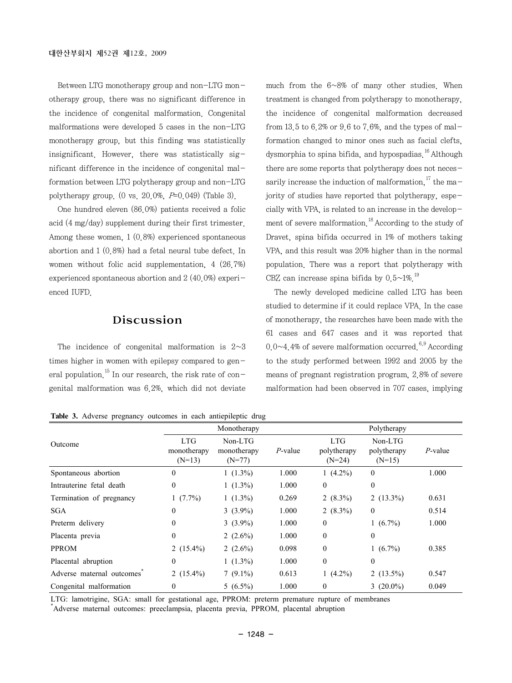Between LTG monotherapy group and non-LTG monotherapy group, there was no significant difference in the incidence of congenital malformation. Congenital malformations were developed 5 cases in the non-LTG monotherapy group, but this finding was statistically insignificant. However, there was statistically significant difference in the incidence of congenital malformation between LTG polytherapy group and non-LTG polytherapy group. (0 vs. 20.0%,  $P=0.049$ ) (Table 3).

One hundred eleven (86.0%) patients received a folic acid (4 mg/day) supplement during their first trimester. Among these women, 1 (0.8%) experienced spontaneous abortion and 1 (0.8%) had a fetal neural tube defect. In women without folic acid supplementation, 4 (26.7%) experienced spontaneous abortion and 2 (40.0%) experienced IUFD.

### Discussion

The incidence of congenital malformation is  $2~3$ times higher in women with epilepsy compared to general population.<sup>15</sup> In our research, the risk rate of congenital malformation was 6.2%, which did not deviate

much from the 6~8% of many other studies. When treatment is changed from polytherapy to monotherapy, the incidence of congenital malformation decreased from 13.5 to 6.2% or 9.6 to 7.6%, and the types of malformation changed to minor ones such as facial clefts, dysmorphia to spina bifida, and hypospadias  $^{16}$  Although there are some reports that polytherapy does not necessarily increase the induction of malformation.<sup>17</sup> the majority of studies have reported that polytherapy, especially with VPA, is related to an increase in the development of severe malformation.<sup>18</sup> According to the study of Dravet, spina bifida occurred in 1% of mothers taking VPA, and this result was 20% higher than in the normal population. There was a report that polytherapy with CBZ can increase spina bifida by  $0.5 \sim 1\%$ <sup>19</sup>

The newly developed medicine called LTG has been studied to determine if it could replace VPA. In the case of monotherapy, the researches have been made with the 61 cases and 647 cases and it was reported that 0.0 $\sim$ 4.4% of severe malformation occurred.<sup>6,9</sup> According to the study performed between 1992 and 2005 by the means of pregnant registration program, 2.8% of severe malformation had been observed in 707 cases, implying

**Table 3.** Adverse pregnancy outcomes in each antiepileptic drug

|                           | Monotherapy                           |                                    |            | Polytherapy                           |                                    |            |
|---------------------------|---------------------------------------|------------------------------------|------------|---------------------------------------|------------------------------------|------------|
| Outcome                   | <b>LTG</b><br>monotherapy<br>$(N=13)$ | Non-LTG<br>monotherapy<br>$(N=77)$ | $P$ -value | <b>LTG</b><br>polytherapy<br>$(N=24)$ | Non-LTG<br>polytherapy<br>$(N=15)$ | $P$ -value |
| Spontaneous abortion      | $\mathbf{0}$                          | $1(1.3\%)$                         | 1.000      | 1 $(4.2\%)$                           | $\theta$                           | 1.000      |
| Intrauterine fetal death  | $\mathbf{0}$                          | $1(1.3\%)$                         | 1.000      | $\theta$                              | $\theta$                           |            |
| Termination of pregnancy  | $1(7.7\%)$                            | $1(1.3\%)$                         | 0.269      | 2 $(8.3\%)$                           | 2 $(13.3\%)$                       | 0.631      |
| <b>SGA</b>                | $\mathbf{0}$                          | $3(3.9\%)$                         | 1.000      | 2 $(8.3\%)$                           | $\theta$                           | 0.514      |
| Preterm delivery          | 0                                     | $3(3.9\%)$                         | 1.000      | $\mathbf{0}$                          | $1(6.7\%)$                         | 1.000      |
| Placenta previa           | $\mathbf{0}$                          | 2 $(2.6\%)$                        | 1.000      | $\theta$                              | $\theta$                           |            |
| <b>PPROM</b>              | 2 $(15.4\%)$                          | 2 $(2.6\%)$                        | 0.098      | $\mathbf{0}$                          | $1(6.7\%)$                         | 0.385      |
| Placental abruption       | $\boldsymbol{0}$                      | $1(1.3\%)$                         | 1.000      | $\mathbf{0}$                          | $\theta$                           |            |
| Adverse maternal outcomes | 2 $(15.4\%)$                          | $7(9.1\%)$                         | 0.613      | 1 $(4.2\%)$                           | 2 $(13.5\%)$                       | 0.547      |
| Congenital malformation   | 0                                     | $5(6.5\%)$                         | 1.000      | $\mathbf{0}$                          | 3 $(20.0\%)$                       | 0.049      |

LTG: lamotrigine, SGA: small for gestational age, PPROM: preterm premature rupture of membranes \* Adverse maternal outcomes: preeclampsia, placenta previa, PPROM, placental abruption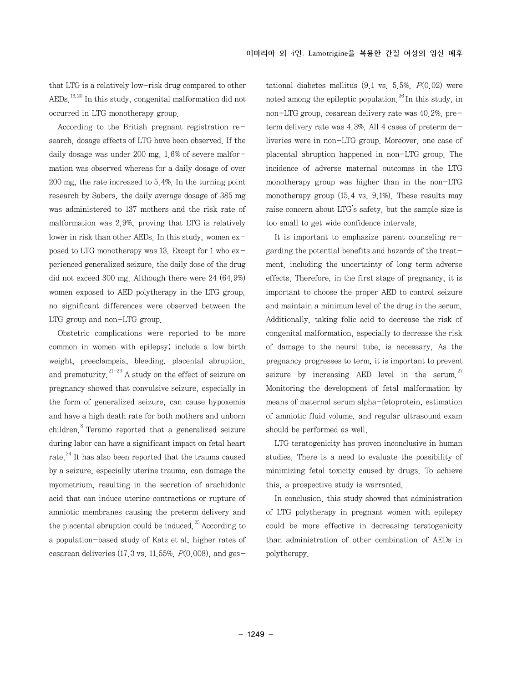that LTG is a relatively low-risk drug compared to other  $AEDs$ <sup>16,20</sup> In this study, congenital malformation did not occurred in LTG monotherapy group.

According to the British pregnant registration research, dosage effects of LTG have been observed. If the daily dosage was under 200 mg, 1.6% of severe malformation was observed whereas for a daily dosage of over 200 mg, the rate increased to 5.4%. In the turning point research by Sabers, the daily average dosage of 385 mg was administered to 137 mothers and the risk rate of malformation was 2.9%, proving that LTG is relatively lower in risk than other AEDs. In this study, women  $ex$ posed to LTG monotherapy was 13. Except for 1 who experienced generalized seizure, the daily dose of the drug did not exceed 300 mg. Although there were 24 (64.9%) women exposed to AED polytherapy in the LTG group, no significant differences were observed between the LTG group and non-LTG group.

Obstetric complications were reported to be more common in women with epilepsy; include a low birth weight, preeclampsia, bleeding, placental abruption, and prematurity.<sup>21-23</sup> A study on the effect of seizure on pregnancy showed that convulsive seizure, especially in the form of generalized seizure, can cause hypoxemia and have a high death rate for both mothers and unborn children.8 Teramo reported that a generalized seizure during labor can have a significant impact on fetal heart rate  $^{24}$  It has also been reported that the trauma caused by a seizure, especially uterine trauma, can damage the myometrium, resulting in the secretion of arachidonic acid that can induce uterine contractions or rupture of amniotic membranes causing the preterm delivery and the placental abruption could be induced.<sup>25</sup> According to a population-based study of Katz et al, higher rates of cesarean deliveries (17.3 vs. 11.55%,  $P(0.008)$ , and gestational diabetes mellitus  $(9.1 \text{ vs. } 5.5\%, P(0.02)$  were noted among the epileptic population  $^{26}$  In this study, in non-LTG group, cesarean delivery rate was 40.2%, preterm delivery rate was 4.3%. All 4 cases of preterm deliveries were in non-LTG group. Moreover, one case of placental abruption happened in non-LTG group. The incidence of adverse maternal outcomes in the LTG monotherapy group was higher than in the non-LTG monotherapy group (15.4 vs. 9.1%). These results may raise concern about LTG's safety, but the sample size is too small to get wide confidence intervals.

It is important to emphasize parent counseling regarding the potential benefits and hazards of the treatment, including the uncertainty of long term adverse effects. Therefore, in the first stage of pregnancy, it is important to choose the proper AED to control seizure and maintain a minimum level of the drug in the serum. Additionally, taking folic acid to decrease the risk of congenital malformation, especially to decrease the risk of damage to the neural tube, is necessary. As the pregnancy progresses to term, it is important to prevent seizure by increasing AED level in the serum. $27$ Monitoring the development of fetal malformation by means of maternal serum alpha-fetoprotein, estimation of amniotic fluid volume, and regular ultrasound exam should be performed as well.

LTG teratogenicity has proven inconclusive in human studies. There is a need to evaluate the possibility of minimizing fetal toxicity caused by drugs. To achieve this, a prospective study is warranted.

In conclusion, this study showed that administration of LTG polytherapy in pregnant women with epilepsy could be more effective in decreasing teratogenicity than administration of other combination of AEDs in polytherapy.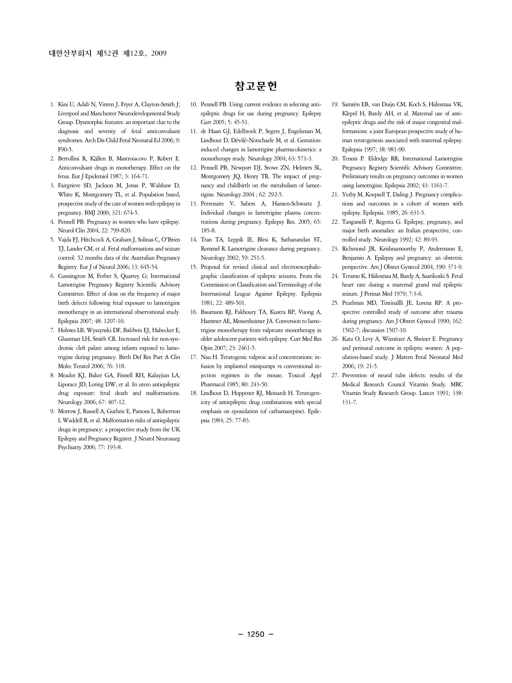- 1. Kini U, Adab N, Vinten J, Fryer A, Clayton-Smith J; Liverpool and Manchester Neurodevelopmental Study Group. Dysmorphic features: an important clue to the diagnosis and severity of fetal anticonvulsant syndromes. Arch Dis Child Fetal Neonatal Ed 2006; 9:  $F(90-5)$
- 2. Bertollini R, Källen B, Mastroiacovo P, Robert E. Anticonvulsant drugs in monotherapy. Effect on the fetus. Eur J Epidemiol 1987; 3: 164-71.
- 3. Fairgrieve SD, Jackson M, Jonas P, Walshaw D, White K, Montgomery TL, et al. Population based, prospective study of the care of women with epilepsy in pregnancy. BMJ 2000; 321: 674-5.
- 4. Pennell PB. Pregnancy in women who have epilepsy. Neurol Clin 2004; 22: 799-820.
- 5. Vajda FJ, Hitchcock A, Graham J, Solinas C, O'Brien TJ, Lander CM, et al. Fetal malformations and seizure control: 52 months data of the Australian Pregnancy Registry. Eur J of Neurol 2006; 13: 645-54.
- 6. Cunnington M, Ferber S, Quartey G; International Lamotrigine Pregnancy Registry Scientific Advisory Committee. Effect of dose on the frequency of major birth defects following fetal exposure to lamotrigine monotherapy in an international observational study. Epilepsia 2007; 48: 1207-10.
- 7. Holmes LB, Wyszynski DF, Baldwin EJ, Habecker E, Glassman LH, Smith CR. Increased risk for non-syndromic cleft palate among infants exposed to lamotrigine during pregnancy. Birth Def Res Part A Clin Molec Teratol 2006; 76: 318.
- 8. Meador KJ, Baker GA, Finnell RH, Kalayjian LA, Liporace JD, Loring DW, et al. In utero antiepileptic drug exposure: fetal death and malformations. Neurology 2006; 67: 407-12.
- 9. Morrow J, Russell A, Guthrie E, Parsons L, Robertson I, Waddell R, et al. Malformation risks of antiepileptic drugs in pregnancy: a prospective study from the UK Epilepsy and Pregnancy Register. J Neurol Neurosurg Psychiatry 2006; 77: 193-8.

#### 참고문헌

- 10. Pennell PB. Using current evidence in selecting antiepileptic drugs for use during pregnancy. Epilepsy Curr 2005; 5: 45-51.
- 11. de Haan GJ, Edelbroek P, Segers J, Engelsman M, Lindhout D, Dévilé-Notschaele M, et al. Gestationinduced changes in lamotrigine pharmacokinetics: a monotherapy study. Neurology 2004; 63: 571-3.
- 12. Pennell PB, Newport DJ, Stowe ZN, Helmers SL, Montgomery JQ, Henry TR. The impact of pregnancy and childbirth on the metabolism of lamotrigine. Neurology 2004 ; 62: 292-5.
- 13. Petrenaite V, Sabers A, Hansen-Schwartz J. Individual changes in lamotrigine plasma concentrations during pregnancy. Epilepsy Res. 2005; 65: 185-8.
- 14. Tran TA, Leppik IE, Blesi K, Sathanandan ST, Remmel R. Lamotrigine clearance during pregnancy. Neurology 2002; 59: 251-5.
- 15. Proposal for revised clinical and electroencephalographic classification of epileptic seizures. From the Commission on Classification and Terminology of the International League Against Epilepsy. Epilepsia 1981; 22: 489-501.
- 16. Baumann RJ, Fakhoury TA, Kustra RP, Vuong A, Hammer AE, Messenheimer JA. Conversion to lamotrigine monotherapy from valproate monotherapy in older adolescent patients with epilepsy. Curr Med Res Opin 2007; 23: 2461-5.
- 17. Nau H. Teratogenic valproic acid concentrations: infusion by implanted minipumps vs conventional injection regimen in the mouse. Toxicol Appl Pharmacol 1985; 80: 243-50.
- 18. Lindhout D, Hoppener RJ, Meinardi H. Teratogenicity of antiepileptic drug combinations with special emphasis on epoxidation (of carbamazepine). Epilepsia 1984; 25: 77-83.
- 19. Samrén EB, van Duijn CM, Koch S, Hiilesmaa VK, Klepel H, Bardy AH, et al. Maternal use of antiepileptic drugs and the risk of major congenital malformations: a joint European prospective study of human teratogenesis associated with maternal epilepsy. Epilepsia 1997; 38: 981-90.
- 20. Tennis P. Eldridge RR; International Lamotrigine Pregnancy Registry Scientific Advisory Committee. Preliminary results on pregnancy outcomes in women using lamotrigine. Epilepsia 2002; 43: 1161-7.
- 21. Yerby M, Koepsell T, Daling J. Pregnancy complications and outcomes in a cohort of women with epilepsy. Epilepsia. 1985; 26: 631-5.
- 22. Tanganelli P, Regesta G. Epilepsy, pregnancy, and major birth anomalies: an Italian prospective, controlled study. Neurology 1992; 42: 89-93.
- 23. Richmond JR, Krishnamoorthy P, Andermann E, Benjamin A. Epilepsy and pregnancy: an obstetric perspective. Am J Obstet Gynecol 2004; 190: 371-9.
- 24. Teramo K, Hiilesmaa M, Bardy A, Saarikoski S. Fetal heart rate during a maternal grand mal epileptic seizure. J Perinat Med 1979; 7:3-6.
- 25. Pearlman MD, Tintinallli JE, Lorenz RP. A prospective controlled study of outcome after trauma during pregnancy. Am J Obstet Gynecol 1990; 162: 1502-7; discussion 1507-10.
- 26. Katz O, Levy A, Wiznitzer A, Sheiner E. Pregnancy and perinatal outcome in epileptic women: A population-based study. J Matern Fetal Neonatal Med 2006; 19: 21-5.
- 27. Prevention of neural tube defects: results of the Medical Research Council Vitamin Study. MRC Vitamin Study Research Group. Lancet 1991; 338: 131-7.